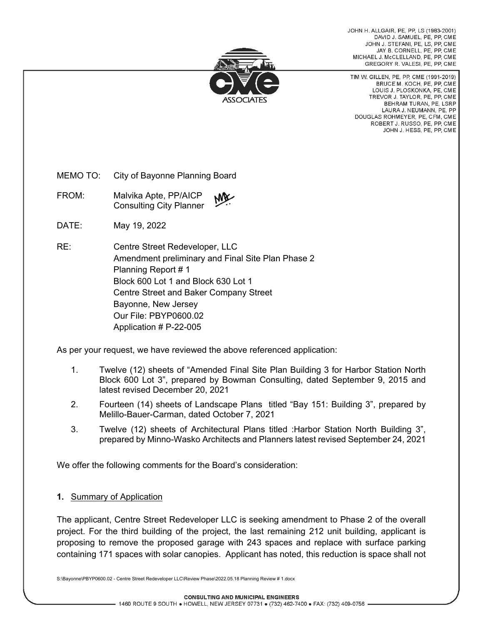

JOHN H. ALLGAIR, PE, PP, LS (1983-2001) DAVID J. SAMUEL, PE, PP, CME JOHN J. STEFANI, PE, LS, PP, CME JAY B. CORNELL, PE, PP, CME MICHAEL J. McCLELLAND, PE. PP. CME GREGORY R. VALESI, PE, PP, CME

TIM W. GILLEN, PE, PP, CME (1991-2019) BRUCE M. KOCH, PE, PP, CME LOUIS J. PLOSKONKA, PE, CME TREVOR J. TAYLOR, PE, PP, CME BEHRAM TURAN, PE. LSRP LAURA J. NEUMANN, PE, PP DOUGLAS ROHMEYER, PE, CFM, CME ROBERT J. RUSSO, PE, PP, CME JOHN J. HESS, PE, PP, CME

MEMO TO: City of Bayonne Planning Board

FROM: Malvika Apte, PP/AICP Consulting City Planner

DATE: May 19, 2022

RE: Centre Street Redeveloper, LLC Amendment preliminary and Final Site Plan Phase 2 Planning Report # 1 Block 600 Lot 1 and Block 630 Lot 1 Centre Street and Baker Company Street Bayonne, New Jersey Our File: PBYP0600.02 Application # P-22-005

As per your request, we have reviewed the above referenced application:

- 1. Twelve (12) sheets of "Amended Final Site Plan Building 3 for Harbor Station North Block 600 Lot 3", prepared by Bowman Consulting, dated September 9, 2015 and latest revised December 20, 2021
- 2. Fourteen (14) sheets of Landscape Plans titled "Bay 151: Building 3", prepared by Melillo-Bauer-Carman, dated October 7, 2021
- 3. Twelve (12) sheets of Architectural Plans titled :Harbor Station North Building 3", prepared by Minno-Wasko Architects and Planners latest revised September 24, 2021

We offer the following comments for the Board's consideration:

## **1.** Summary of Application

The applicant, Centre Street Redeveloper LLC is seeking amendment to Phase 2 of the overall project. For the third building of the project, the last remaining 212 unit building, applicant is proposing to remove the proposed garage with 243 spaces and replace with surface parking containing 171 spaces with solar canopies. Applicant has noted, this reduction is space shall not

S:\Bayonne\PBYP0600.02 - Centre Street Redeveloper LLC\Review Phase\2022.05.18 Planning Review # 1.docx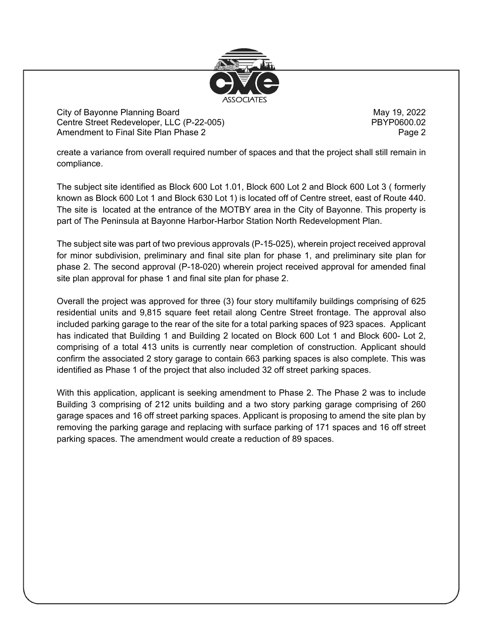

City of Bayonne Planning Board May 19, 2022 Centre Street Redeveloper, LLC (P-22-005) PBYP0600.02 Amendment to Final Site Plan Phase 2 Page 2 Page 2

create a variance from overall required number of spaces and that the project shall still remain in compliance.

The subject site identified as Block 600 Lot 1.01, Block 600 Lot 2 and Block 600 Lot 3 ( formerly known as Block 600 Lot 1 and Block 630 Lot 1) is located off of Centre street, east of Route 440. The site is located at the entrance of the MOTBY area in the City of Bayonne. This property is part of The Peninsula at Bayonne Harbor-Harbor Station North Redevelopment Plan.

The subject site was part of two previous approvals (P-15-025), wherein project received approval for minor subdivision, preliminary and final site plan for phase 1, and preliminary site plan for phase 2. The second approval (P-18-020) wherein project received approval for amended final site plan approval for phase 1 and final site plan for phase 2.

Overall the project was approved for three (3) four story multifamily buildings comprising of 625 residential units and 9,815 square feet retail along Centre Street frontage. The approval also included parking garage to the rear of the site for a total parking spaces of 923 spaces. Applicant has indicated that Building 1 and Building 2 located on Block 600 Lot 1 and Block 600- Lot 2, comprising of a total 413 units is currently near completion of construction. Applicant should confirm the associated 2 story garage to contain 663 parking spaces is also complete. This was identified as Phase 1 of the project that also included 32 off street parking spaces.

With this application, applicant is seeking amendment to Phase 2. The Phase 2 was to include Building 3 comprising of 212 units building and a two story parking garage comprising of 260 garage spaces and 16 off street parking spaces. Applicant is proposing to amend the site plan by removing the parking garage and replacing with surface parking of 171 spaces and 16 off street parking spaces. The amendment would create a reduction of 89 spaces.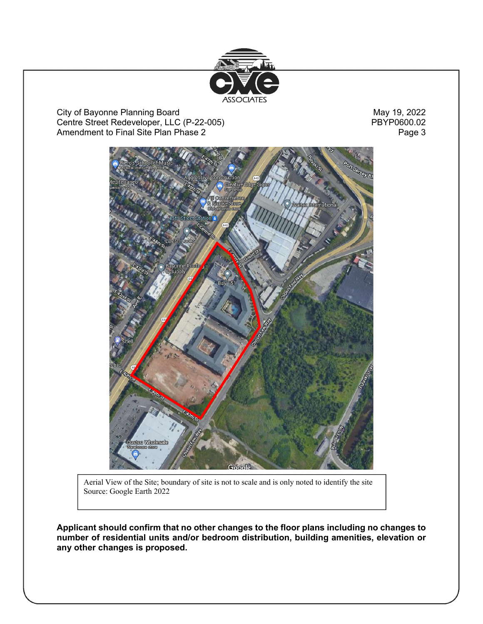

City of Bayonne Planning Board<br>
Centre Street Redeveloper, LLC (P-22-005)<br>
PBYP0600.02 Centre Street Redeveloper, LLC (P-22-005)<br>Amendment to Final Site Plan Phase 2 Amendment to Final Site Plan Phase 2



Aerial View of the Site; boundary of site is not to scale and is only noted to identify the site Source: Google Earth 2022

**Applicant should confirm that no other changes to the floor plans including no changes to number of residential units and/or bedroom distribution, building amenities, elevation or any other changes is proposed.**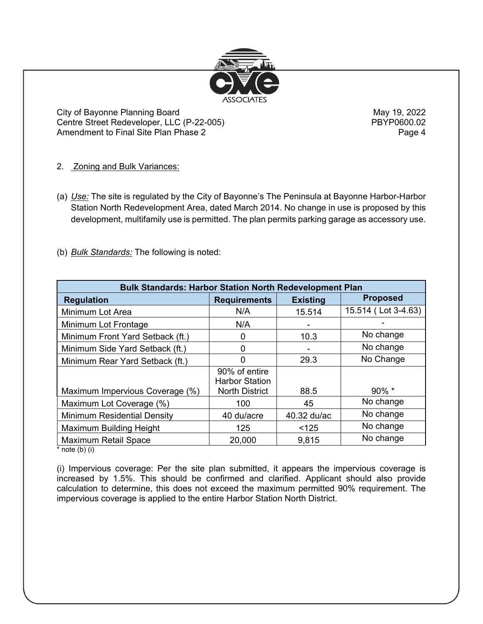

City of Bayonne Planning Board May 19, 2022 Centre Street Redeveloper, LLC (P-22-005) Amendment to Final Site Plan Phase 2 Page 4

2. Zoning and Bulk Variances:

- (a) *Use:* The site is regulated by the City of Bayonne's The Peninsula at Bayonne Harbor-Harbor Station North Redevelopment Area, dated March 2014. No change in use is proposed by this development, multifamily use is permitted. The plan permits parking garage as accessory use.
- (b) *Bulk Standards:* The following is noted:

| <b>Bulk Standards: Harbor Station North Redevelopment Plan</b> |                                        |                 |                     |  |  |
|----------------------------------------------------------------|----------------------------------------|-----------------|---------------------|--|--|
| <b>Regulation</b>                                              | <b>Requirements</b>                    | <b>Existing</b> | <b>Proposed</b>     |  |  |
| Minimum Lot Area                                               | N/A                                    | 15.514          | 15.514 (Lot 3-4.63) |  |  |
| Minimum Lot Frontage                                           | N/A                                    |                 |                     |  |  |
| Minimum Front Yard Setback (ft.)                               |                                        | 10.3            | No change           |  |  |
| Minimum Side Yard Setback (ft.)                                | ∩                                      |                 | No change           |  |  |
| Minimum Rear Yard Setback (ft.)                                | ∩                                      | 29.3            | No Change           |  |  |
|                                                                | 90% of entire<br><b>Harbor Station</b> |                 |                     |  |  |
| Maximum Impervious Coverage (%)                                | <b>North District</b>                  | 88.5            | 90% *               |  |  |
| Maximum Lot Coverage (%)                                       | 100                                    | 45              | No change           |  |  |
| <b>Minimum Residential Density</b>                             | 40 du/acre                             | 40.32 du/ac     | No change           |  |  |
| Maximum Building Height                                        | 125                                    | < 125           | No change           |  |  |
| <b>Maximum Retail Space</b><br>$* - -1 - 1 - 1$                | 20,000                                 | 9,815           | No change           |  |  |

note  $(b)$  (i)

(i) Impervious coverage: Per the site plan submitted, it appears the impervious coverage is increased by 1.5%. This should be confirmed and clarified. Applicant should also provide calculation to determine, this does not exceed the maximum permitted 90% requirement. The impervious coverage is applied to the entire Harbor Station North District.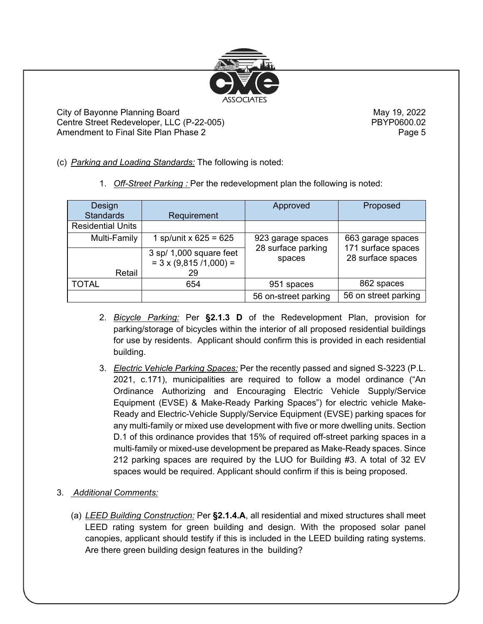

City of Bayonne Planning Board May 19, 2022 Centre Street Redeveloper, LLC (P-22-005) PBYP0600.02 Amendment to Final Site Plan Phase 2 Page 5 Page 5

- (c) *Parking and Loading Standards:* The following is noted:
	- 1. *Off-Street Parking :* Per the redevelopment plan the following is noted:

| Design<br><b>Standards</b> | Requirement                                               | Approved                                | Proposed                                |
|----------------------------|-----------------------------------------------------------|-----------------------------------------|-----------------------------------------|
| <b>Residential Units</b>   |                                                           |                                         |                                         |
| Multi-Family               | 1 sp/unit x $625 = 625$                                   | 923 garage spaces<br>28 surface parking | 663 garage spaces<br>171 surface spaces |
|                            | 3 sp/ 1,000 square feet<br>$= 3 \times (9,815 / 1,000) =$ | spaces                                  | 28 surface spaces                       |
| Retail                     | 29                                                        |                                         |                                         |
| <b>TOTAL</b>               | 654                                                       | 951 spaces                              | 862 spaces                              |
|                            |                                                           | 56 on-street parking                    | 56 on street parking                    |

- 2. *Bicycle Parking:* Per **§2.1.3 D** of the Redevelopment Plan, provision for parking/storage of bicycles within the interior of all proposed residential buildings for use by residents. Applicant should confirm this is provided in each residential building.
- 3. *Electric Vehicle Parking Spaces:* Per the recently passed and signed S-3223 (P.L. 2021, c.171), municipalities are required to follow a model ordinance ("An Ordinance Authorizing and Encouraging Electric Vehicle Supply/Service Equipment (EVSE) & Make-Ready Parking Spaces") for electric vehicle Make-Ready and Electric-Vehicle Supply/Service Equipment (EVSE) parking spaces for any multi-family or mixed use development with five or more dwelling units. Section D.1 of this ordinance provides that 15% of required off-street parking spaces in a multi-family or mixed-use development be prepared as Make-Ready spaces. Since 212 parking spaces are required by the LUO for Building #3. A total of 32 EV spaces would be required. Applicant should confirm if this is being proposed.
- 3. *Additional Comments:*
	- (a) *LEED Building Construction:* Per **§2.1.4.A**, all residential and mixed structures shall meet LEED rating system for green building and design. With the proposed solar panel canopies, applicant should testify if this is included in the LEED building rating systems. Are there green building design features in the building?